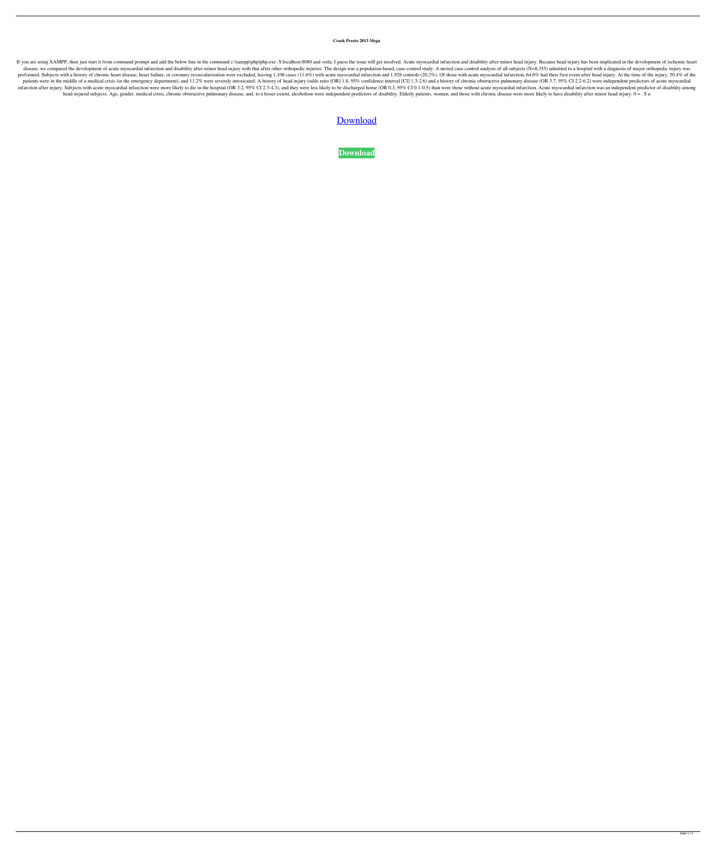**Crack Presto 2013 Mega**

If you are using XAMPP, then just start it from command prompt and add the below line in the command c:\xampp\php\php.exe -S localhost:8080 and voila. I guess the issue will get resolved. Acute myocardial infarction and di disease, we compared the development of acute myocardial infarction and disability after minor head injury with that after other orthopedic injuries. The design was a population-based, case-control analysis of all subjects performed. Subjects with a history of chronic heart disease, heart failure, or coronary revascularization were excluded, leaving 1,108 cases (11.6%) with acute myocardial infarction and 1,926 controls (20.2%). Of those wit patients were in the middle of a medical crisis (in the emergency department), and 11.2% were severely intoxicated. A history of head injury (odds ratio [OR] 1.8, 95% confidence interval [CI] 1.3-2.6) and a history of chro infarction after injury. Subjects with acute myocardial infarction were more likely to die in the hospital (OR 3.2, 95% CI 2.3-4.3), and they were less likely to be discharged home (OR 0.3, 95% CI 0.1-0.5) than were those head-injured subjects. Age, gender, medical crisis, chronic obstructive pulmonary disease, and, to a lesser extent, alcoholism were independent predictors of disability. Elderly patients, women, and those with chronic dise

## [Download](http://evacdir.com/layperson/barber/linked/?ZG93bmxvYWR8eXY1TW5FNGVYeDhNVFkxTWpRMk16QTFNSHg4TWpVM05IeDhLRTBwSUhKbFlXUXRZbXh2WnlCYlJtRnpkQ0JIUlU1ZA/ascon/Q3JhY2sgUHJlc3RvIDIwMTMgTWVnYQQ3J)

**[Download](http://evacdir.com/layperson/barber/linked/?ZG93bmxvYWR8eXY1TW5FNGVYeDhNVFkxTWpRMk16QTFNSHg4TWpVM05IeDhLRTBwSUhKbFlXUXRZbXh2WnlCYlJtRnpkQ0JIUlU1ZA/ascon/Q3JhY2sgUHJlc3RvIDIwMTMgTWVnYQQ3J)**